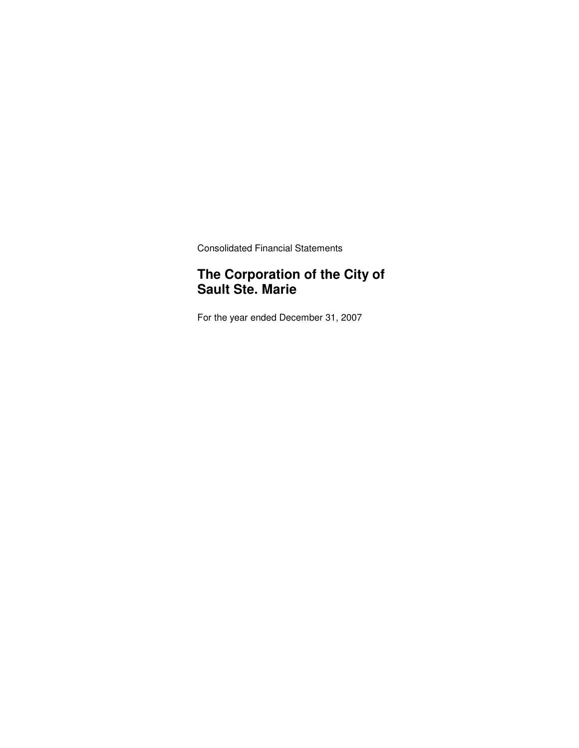Consolidated Financial Statements

### **The Corporation of the City of Sault Ste. Marie**

For the year ended December 31, 2007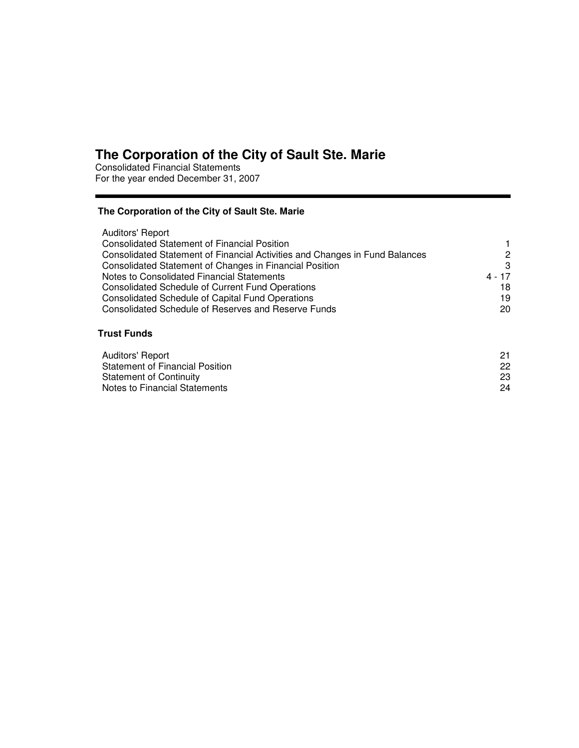Consolidated Financial Statements For the year ended December 31, 2007

### **The Corporation of the City of Sault Ste. Marie**

| Auditors' Report                                                            |          |
|-----------------------------------------------------------------------------|----------|
| <b>Consolidated Statement of Financial Position</b>                         | 1        |
| Consolidated Statement of Financial Activities and Changes in Fund Balances | 2        |
| Consolidated Statement of Changes in Financial Position                     | 3        |
| Notes to Consolidated Financial Statements                                  | $4 - 17$ |
| Consolidated Schedule of Current Fund Operations                            | 18       |
| <b>Consolidated Schedule of Capital Fund Operations</b>                     | 19       |
| Consolidated Schedule of Reserves and Reserve Funds                         | 20       |
|                                                                             |          |

### **Trust Funds**

| Auditors' Report                       | 21 |
|----------------------------------------|----|
| <b>Statement of Financial Position</b> | 22 |
| Statement of Continuity                | 23 |
| Notes to Financial Statements          | 24 |
|                                        |    |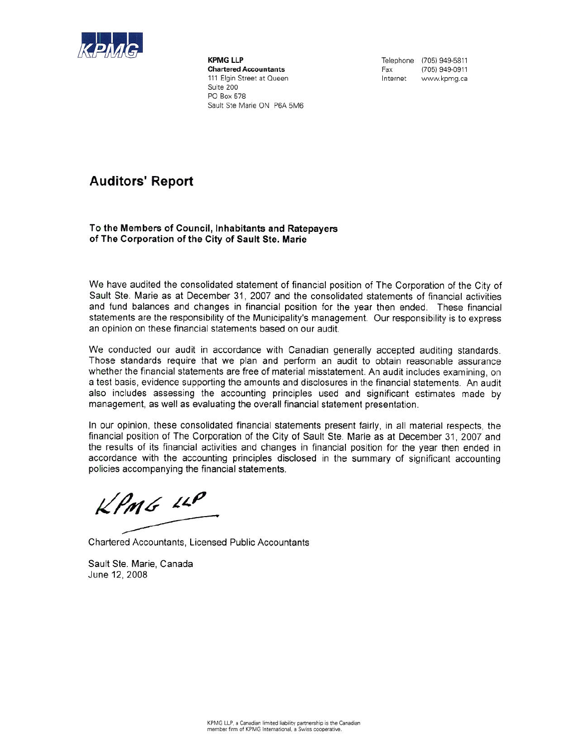

**KPMG LLP Chartered Accountants** 111 Elgin Street at Queen Suite 200 PO Box 578 Sault Ste Marie ON P6A 5M6 Telephone (705) 949-5811 Fax (705) 949-0911 Internet www.kpmg.ca

# **Auditors' Report**

#### To the Members of Council, Inhabitants and Ratepayers of The Corporation of the City of Sault Ste. Marie

We have audited the consolidated statement of financial position of The Corporation of the City of Sault Ste. Marie as at December 31, 2007 and the consolidated statements of financial activities and fund balances and changes in financial position for the year then ended. These financial statements are the responsibility of the Municipality's management. Our responsibility is to express an opinion on these financial statements based on our audit.

We conducted our audit in accordance with Canadian generally accepted auditing standards. Those standards require that we plan and perform an audit to obtain reasonable assurance whether the financial statements are free of material misstatement. An audit includes examining, on a test basis, evidence supporting the amounts and disclosures in the financial statements. An audit also includes assessing the accounting principles used and significant estimates made by management, as well as evaluating the overall financial statement presentation.

In our opinion, these consolidated financial statements present fairly, in all material respects, the financial position of The Corporation of the City of Sault Ste. Marie as at December 31, 2007 and the results of its financial activities and changes in financial position for the year then ended in accordance with the accounting principles disclosed in the summary of significant accounting policies accompanying the financial statements.

 $KPMG$   $IP$ 

Chartered Accountants, Licensed Public Accountants

Sault Ste. Marie, Canada June 12, 2008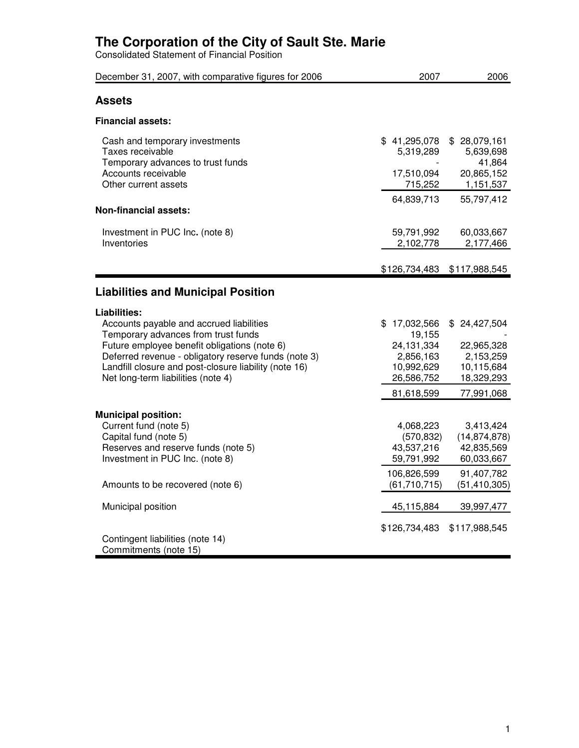Consolidated Statement of Financial Position

| December 31, 2007, with comparative figures for 2006                                                                                                                                                                                                                                                   | 2007                                                                                        | 2006                                                                                    |
|--------------------------------------------------------------------------------------------------------------------------------------------------------------------------------------------------------------------------------------------------------------------------------------------------------|---------------------------------------------------------------------------------------------|-----------------------------------------------------------------------------------------|
| <b>Assets</b>                                                                                                                                                                                                                                                                                          |                                                                                             |                                                                                         |
| <b>Financial assets:</b>                                                                                                                                                                                                                                                                               |                                                                                             |                                                                                         |
| Cash and temporary investments<br>Taxes receivable<br>Temporary advances to trust funds<br>Accounts receivable<br>Other current assets                                                                                                                                                                 | \$41,295,078<br>5,319,289<br>17,510,094<br>715,252<br>64,839,713                            | \$28,079,161<br>5,639,698<br>41,864<br>20,865,152<br>1,151,537<br>55,797,412            |
| <b>Non-financial assets:</b>                                                                                                                                                                                                                                                                           |                                                                                             |                                                                                         |
| Investment in PUC Inc. (note 8)<br>Inventories                                                                                                                                                                                                                                                         | 59,791,992<br>2,102,778                                                                     | 60,033,667<br>2,177,466                                                                 |
|                                                                                                                                                                                                                                                                                                        | \$126,734,483                                                                               | \$117,988,545                                                                           |
| <b>Liabilities and Municipal Position</b>                                                                                                                                                                                                                                                              |                                                                                             |                                                                                         |
| Liabilities:<br>Accounts payable and accrued liabilities<br>Temporary advances from trust funds<br>Future employee benefit obligations (note 6)<br>Deferred revenue - obligatory reserve funds (note 3)<br>Landfill closure and post-closure liability (note 16)<br>Net long-term liabilities (note 4) | \$17,032,566<br>19,155<br>24,131,334<br>2,856,163<br>10,992,629<br>26,586,752<br>81,618,599 | \$24,427,504<br>22,965,328<br>2,153,259<br>10,115,684<br>18,329,293<br>77,991,068       |
| <b>Municipal position:</b><br>Current fund (note 5)<br>Capital fund (note 5)<br>Reserves and reserve funds (note 5)<br>Investment in PUC Inc. (note 8)<br>Amounts to be recovered (note 6)                                                                                                             | 4,068,223<br>(570, 832)<br>43,537,216<br>59,791,992<br>106,826,599<br>(61, 710, 715)        | 3,413,424<br>(14, 874, 878)<br>42,835,569<br>60,033,667<br>91,407,782<br>(51, 410, 305) |
| Municipal position                                                                                                                                                                                                                                                                                     | 45,115,884                                                                                  | 39,997,477                                                                              |
| Contingent liabilities (note 14)<br>Commitments (note 15)                                                                                                                                                                                                                                              | \$126,734,483                                                                               | \$117,988,545                                                                           |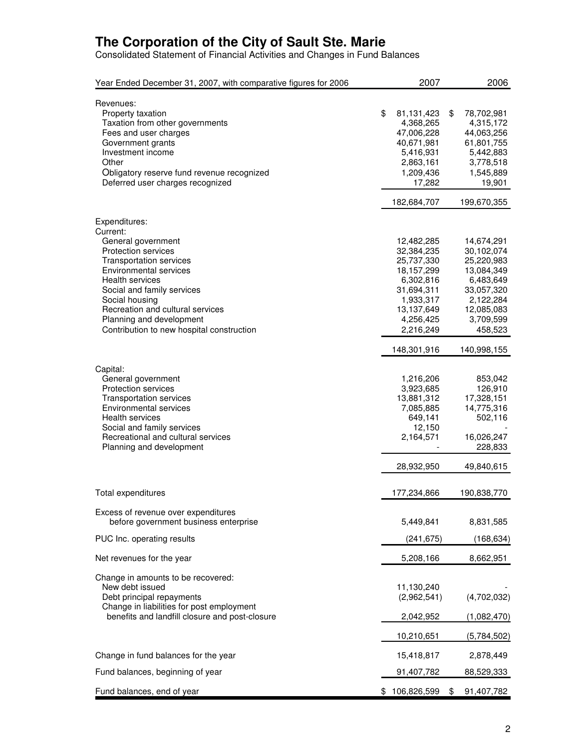Consolidated Statement of Financial Activities and Changes in Fund Balances

| Year Ended December 31, 2007, with comparative figures for 2006                                                                                                                                                                                    | 2007                                                                                                       | 2006                                                                                                       |
|----------------------------------------------------------------------------------------------------------------------------------------------------------------------------------------------------------------------------------------------------|------------------------------------------------------------------------------------------------------------|------------------------------------------------------------------------------------------------------------|
| Revenues:<br>Property taxation<br>Taxation from other governments<br>Fees and user charges<br>Government grants<br>Investment income<br>Other<br>Obligatory reserve fund revenue recognized<br>Deferred user charges recognized                    | \$<br>81,131,423<br>4,368,265<br>47,006,228<br>40,671,981<br>5,416,931<br>2,863,161<br>1,209,436<br>17,282 | \$<br>78,702,981<br>4,315,172<br>44,063,256<br>61,801,755<br>5,442,883<br>3,778,518<br>1,545,889<br>19,901 |
|                                                                                                                                                                                                                                                    | 182,684,707                                                                                                | 199,670,355                                                                                                |
| Expenditures:<br>Current:<br>General government<br>Protection services<br><b>Transportation services</b><br><b>Environmental services</b>                                                                                                          | 12,482,285<br>32,384,235<br>25,737,330<br>18,157,299                                                       | 14,674,291<br>30,102,074<br>25,220,983<br>13,084,349                                                       |
| <b>Health services</b><br>Social and family services<br>Social housing<br>Recreation and cultural services<br>Planning and development<br>Contribution to new hospital construction                                                                | 6,302,816<br>31,694,311<br>1,933,317<br>13,137,649<br>4,256,425<br>2,216,249                               | 6,483,649<br>33,057,320<br>2,122,284<br>12,085,083<br>3,709,599<br>458,523                                 |
|                                                                                                                                                                                                                                                    | 148,301,916                                                                                                | 140,998,155                                                                                                |
| Capital:<br>General government<br><b>Protection services</b><br><b>Transportation services</b><br>Environmental services<br><b>Health services</b><br>Social and family services<br>Recreational and cultural services<br>Planning and development | 1,216,206<br>3,923,685<br>13,881,312<br>7,085,885<br>649,141<br>12,150<br>2,164,571                        | 853,042<br>126,910<br>17,328,151<br>14,775,316<br>502,116<br>16,026,247<br>228,833                         |
|                                                                                                                                                                                                                                                    | 28,932,950                                                                                                 | 49,840,615                                                                                                 |
| Total expenditures                                                                                                                                                                                                                                 | 177,234,866                                                                                                | 190,838,770                                                                                                |
| Excess of revenue over expenditures<br>before government business enterprise                                                                                                                                                                       | 5,449,841                                                                                                  | 8,831,585                                                                                                  |
| PUC Inc. operating results                                                                                                                                                                                                                         | (241, 675)                                                                                                 | (168,634)                                                                                                  |
| Net revenues for the year                                                                                                                                                                                                                          | 5,208,166                                                                                                  | 8,662,951                                                                                                  |
| Change in amounts to be recovered:<br>New debt issued<br>Debt principal repayments<br>Change in liabilities for post employment<br>benefits and landfill closure and post-closure                                                                  | 11,130,240<br>(2,962,541)<br>2,042,952                                                                     | (4,702,032)<br>(1,082,470)                                                                                 |
|                                                                                                                                                                                                                                                    | 10,210,651                                                                                                 | (5,784,502)                                                                                                |
| Change in fund balances for the year                                                                                                                                                                                                               | 15,418,817                                                                                                 | 2,878,449                                                                                                  |
| Fund balances, beginning of year                                                                                                                                                                                                                   | 91,407,782                                                                                                 | 88,529,333                                                                                                 |
| Fund balances, end of year                                                                                                                                                                                                                         | \$106,826,599                                                                                              | \$<br>91,407,782                                                                                           |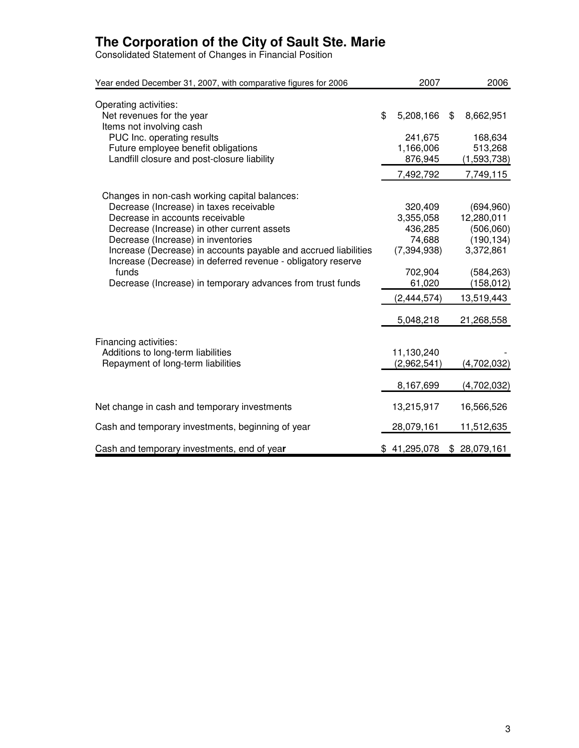Consolidated Statement of Changes in Financial Position

| Year ended December 31, 2007, with comparative figures for 2006                                                                                                                                                                                                                                                                                                                                                            | 2007                                                                                             | 2006                                                                                                       |
|----------------------------------------------------------------------------------------------------------------------------------------------------------------------------------------------------------------------------------------------------------------------------------------------------------------------------------------------------------------------------------------------------------------------------|--------------------------------------------------------------------------------------------------|------------------------------------------------------------------------------------------------------------|
| Operating activities:<br>Net revenues for the year<br>Items not involving cash                                                                                                                                                                                                                                                                                                                                             | \$<br>5,208,166                                                                                  | \$<br>8,662,951                                                                                            |
| PUC Inc. operating results<br>Future employee benefit obligations<br>Landfill closure and post-closure liability                                                                                                                                                                                                                                                                                                           | 241,675<br>1,166,006<br>876,945<br>7,492,792                                                     | 168,634<br>513,268<br>(1,593,738)<br>7,749,115                                                             |
| Changes in non-cash working capital balances:<br>Decrease (Increase) in taxes receivable<br>Decrease in accounts receivable<br>Decrease (Increase) in other current assets<br>Decrease (Increase) in inventories<br>Increase (Decrease) in accounts payable and accrued liabilities<br>Increase (Decrease) in deferred revenue - obligatory reserve<br>funds<br>Decrease (Increase) in temporary advances from trust funds | 320,409<br>3,355,058<br>436,285<br>74,688<br>(7, 394, 938)<br>702,904<br>61,020<br>(2, 444, 574) | (694, 960)<br>12,280,011<br>(506,060)<br>(190, 134)<br>3,372,861<br>(584, 263)<br>(158, 012)<br>13,519,443 |
| Financing activities:<br>Additions to long-term liabilities<br>Repayment of long-term liabilities                                                                                                                                                                                                                                                                                                                          | 5,048,218<br>11,130,240<br>(2,962,541)<br>8,167,699                                              | 21,268,558<br>(4,702,032)<br>(4,702,032)                                                                   |
| Net change in cash and temporary investments                                                                                                                                                                                                                                                                                                                                                                               | 13,215,917                                                                                       | 16,566,526                                                                                                 |
| Cash and temporary investments, beginning of year                                                                                                                                                                                                                                                                                                                                                                          | 28,079,161                                                                                       | 11,512,635                                                                                                 |
| Cash and temporary investments, end of year                                                                                                                                                                                                                                                                                                                                                                                | \$41,295,078                                                                                     | \$28,079,161                                                                                               |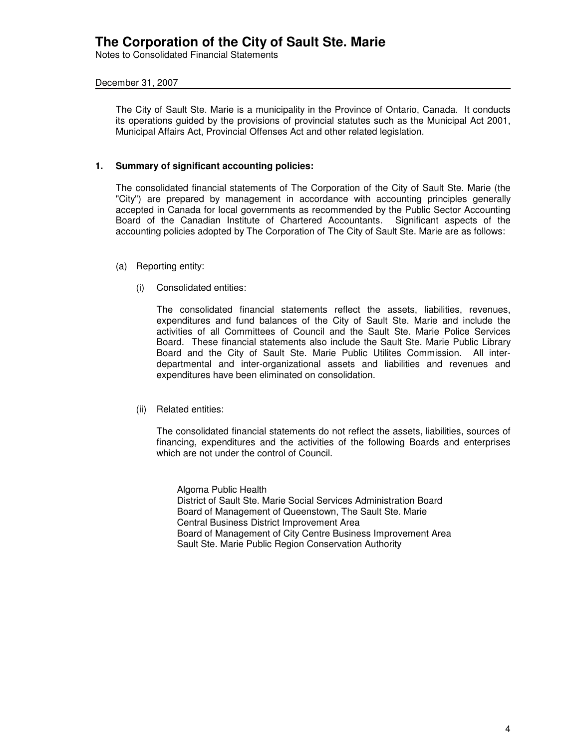Notes to Consolidated Financial Statements

### December 31, 2007

The City of Sault Ste. Marie is a municipality in the Province of Ontario, Canada. It conducts its operations guided by the provisions of provincial statutes such as the Municipal Act 2001, Municipal Affairs Act, Provincial Offenses Act and other related legislation.

### **1. Summary of significant accounting policies:**

The consolidated financial statements of The Corporation of the City of Sault Ste. Marie (the "City") are prepared by management in accordance with accounting principles generally accepted in Canada for local governments as recommended by the Public Sector Accounting Board of the Canadian Institute of Chartered Accountants. Significant aspects of the accounting policies adopted by The Corporation of The City of Sault Ste. Marie are as follows:

- (a) Reporting entity:
	- (i) Consolidated entities:

The consolidated financial statements reflect the assets, liabilities, revenues, expenditures and fund balances of the City of Sault Ste. Marie and include the activities of all Committees of Council and the Sault Ste. Marie Police Services Board. These financial statements also include the Sault Ste. Marie Public Library Board and the City of Sault Ste. Marie Public Utilites Commission. All interdepartmental and inter-organizational assets and liabilities and revenues and expenditures have been eliminated on consolidation.

#### (ii) Related entities:

The consolidated financial statements do not reflect the assets, liabilities, sources of financing, expenditures and the activities of the following Boards and enterprises which are not under the control of Council.

Algoma Public Health District of Sault Ste. Marie Social Services Administration Board Board of Management of Queenstown, The Sault Ste. Marie Central Business District Improvement Area Board of Management of City Centre Business Improvement Area Sault Ste. Marie Public Region Conservation Authority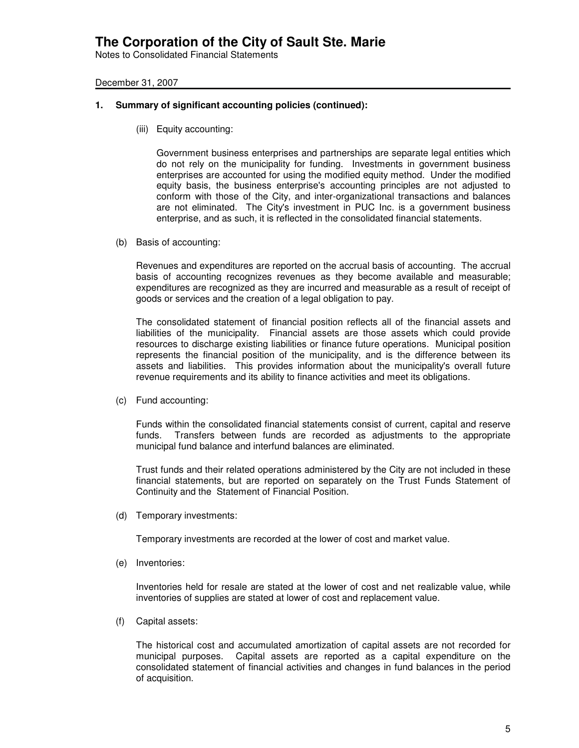Notes to Consolidated Financial Statements

December 31, 2007

### **1. Summary of significant accounting policies (continued):**

(iii) Equity accounting:

Government business enterprises and partnerships are separate legal entities which do not rely on the municipality for funding. Investments in government business enterprises are accounted for using the modified equity method. Under the modified equity basis, the business enterprise's accounting principles are not adjusted to conform with those of the City, and inter-organizational transactions and balances are not eliminated. The City's investment in PUC Inc. is a government business enterprise, and as such, it is reflected in the consolidated financial statements.

(b) Basis of accounting:

Revenues and expenditures are reported on the accrual basis of accounting. The accrual basis of accounting recognizes revenues as they become available and measurable; expenditures are recognized as they are incurred and measurable as a result of receipt of goods or services and the creation of a legal obligation to pay.

The consolidated statement of financial position reflects all of the financial assets and liabilities of the municipality. Financial assets are those assets which could provide resources to discharge existing liabilities or finance future operations. Municipal position represents the financial position of the municipality, and is the difference between its assets and liabilities. This provides information about the municipality's overall future revenue requirements and its ability to finance activities and meet its obligations.

(c) Fund accounting:

Funds within the consolidated financial statements consist of current, capital and reserve funds. Transfers between funds are recorded as adjustments to the appropriate municipal fund balance and interfund balances are eliminated.

Trust funds and their related operations administered by the City are not included in these financial statements, but are reported on separately on the Trust Funds Statement of Continuity and the Statement of Financial Position.

(d) Temporary investments:

Temporary investments are recorded at the lower of cost and market value.

(e) Inventories:

Inventories held for resale are stated at the lower of cost and net realizable value, while inventories of supplies are stated at lower of cost and replacement value.

(f) Capital assets:

The historical cost and accumulated amortization of capital assets are not recorded for municipal purposes. Capital assets are reported as a capital expenditure on the consolidated statement of financial activities and changes in fund balances in the period of acquisition.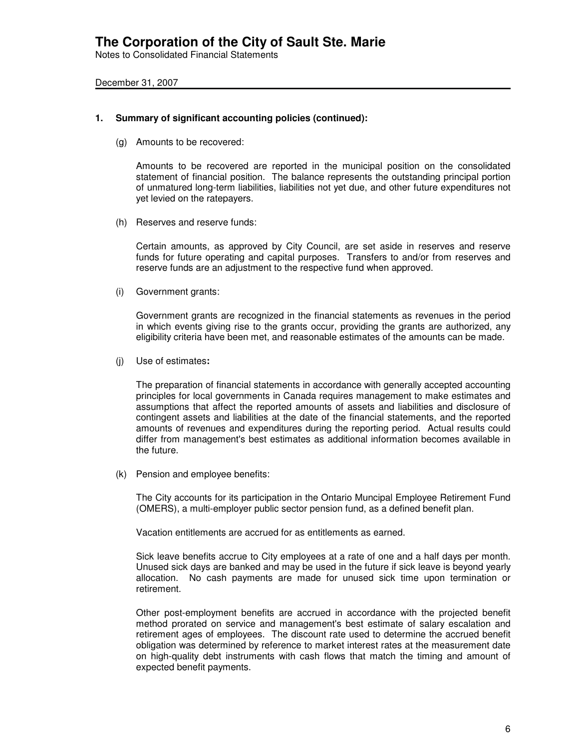Notes to Consolidated Financial Statements

December 31, 2007

### **1. Summary of significant accounting policies (continued):**

(g) Amounts to be recovered:

Amounts to be recovered are reported in the municipal position on the consolidated statement of financial position. The balance represents the outstanding principal portion of unmatured long-term liabilities, liabilities not yet due, and other future expenditures not yet levied on the ratepayers.

(h) Reserves and reserve funds:

Certain amounts, as approved by City Council, are set aside in reserves and reserve funds for future operating and capital purposes. Transfers to and/or from reserves and reserve funds are an adjustment to the respective fund when approved.

(i) Government grants:

Government grants are recognized in the financial statements as revenues in the period in which events giving rise to the grants occur, providing the grants are authorized, any eligibility criteria have been met, and reasonable estimates of the amounts can be made.

(j) Use of estimates**:**

The preparation of financial statements in accordance with generally accepted accounting principles for local governments in Canada requires management to make estimates and assumptions that affect the reported amounts of assets and liabilities and disclosure of contingent assets and liabilities at the date of the financial statements, and the reported amounts of revenues and expenditures during the reporting period. Actual results could differ from management's best estimates as additional information becomes available in the future.

(k) Pension and employee benefits:

The City accounts for its participation in the Ontario Muncipal Employee Retirement Fund (OMERS), a multi-employer public sector pension fund, as a defined benefit plan.

Vacation entitlements are accrued for as entitlements as earned.

Sick leave benefits accrue to City employees at a rate of one and a half days per month. Unused sick days are banked and may be used in the future if sick leave is beyond yearly allocation. No cash payments are made for unused sick time upon termination or retirement.

Other post-employment benefits are accrued in accordance with the projected benefit method prorated on service and management's best estimate of salary escalation and retirement ages of employees. The discount rate used to determine the accrued benefit obligation was determined by reference to market interest rates at the measurement date on high-quality debt instruments with cash flows that match the timing and amount of expected benefit payments.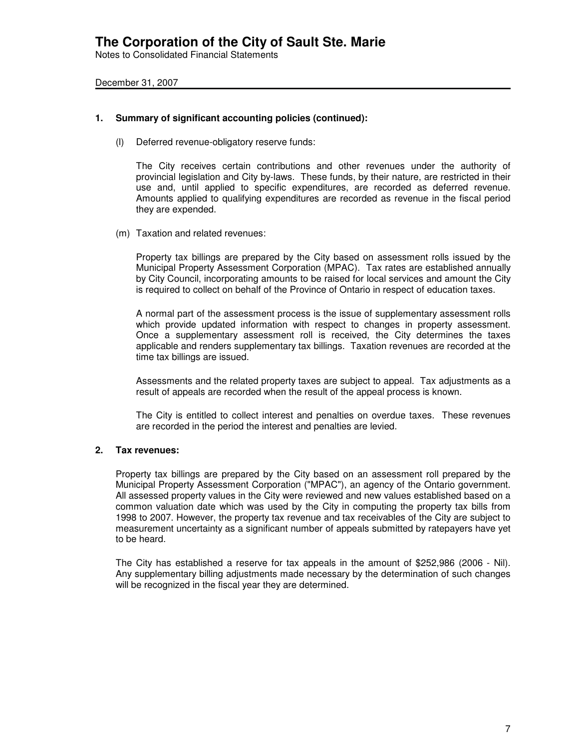Notes to Consolidated Financial Statements

December 31, 2007

### **1. Summary of significant accounting policies (continued):**

(l) Deferred revenue-obligatory reserve funds:

The City receives certain contributions and other revenues under the authority of provincial legislation and City by-laws. These funds, by their nature, are restricted in their use and, until applied to specific expenditures, are recorded as deferred revenue. Amounts applied to qualifying expenditures are recorded as revenue in the fiscal period they are expended.

(m) Taxation and related revenues:

Property tax billings are prepared by the City based on assessment rolls issued by the Municipal Property Assessment Corporation (MPAC). Tax rates are established annually by City Council, incorporating amounts to be raised for local services and amount the City is required to collect on behalf of the Province of Ontario in respect of education taxes.

A normal part of the assessment process is the issue of supplementary assessment rolls which provide updated information with respect to changes in property assessment. Once a supplementary assessment roll is received, the City determines the taxes applicable and renders supplementary tax billings. Taxation revenues are recorded at the time tax billings are issued.

Assessments and the related property taxes are subject to appeal. Tax adjustments as a result of appeals are recorded when the result of the appeal process is known.

The City is entitled to collect interest and penalties on overdue taxes. These revenues are recorded in the period the interest and penalties are levied.

### **2. Tax revenues:**

Property tax billings are prepared by the City based on an assessment roll prepared by the Municipal Property Assessment Corporation ("MPAC"), an agency of the Ontario government. All assessed property values in the City were reviewed and new values established based on a common valuation date which was used by the City in computing the property tax bills from 1998 to 2007. However, the property tax revenue and tax receivables of the City are subject to measurement uncertainty as a significant number of appeals submitted by ratepayers have yet to be heard.

The City has established a reserve for tax appeals in the amount of \$252,986 (2006 - Nil). Any supplementary billing adjustments made necessary by the determination of such changes will be recognized in the fiscal year they are determined.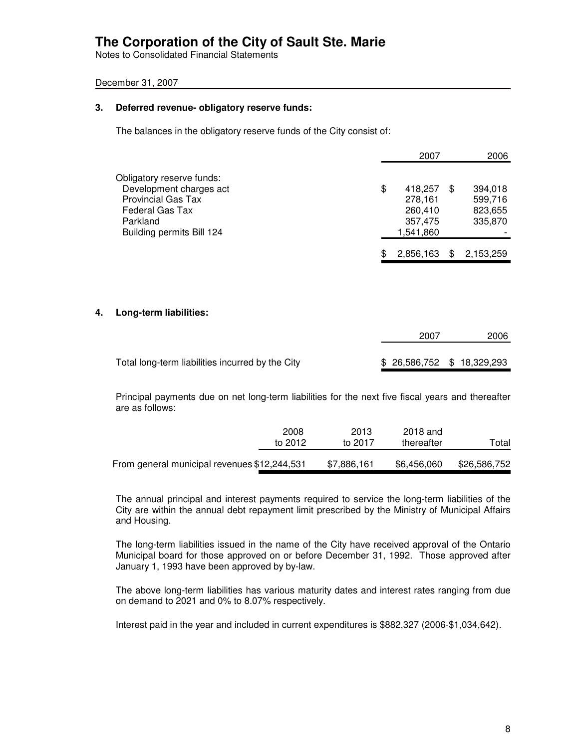Notes to Consolidated Financial Statements

### December 31, 2007

### **3. Deferred revenue- obligatory reserve funds:**

The balances in the obligatory reserve funds of the City consist of:

|                                                                                   | 2007                            |     | 2006               |
|-----------------------------------------------------------------------------------|---------------------------------|-----|--------------------|
| Obligatory reserve funds:<br>Development charges act<br><b>Provincial Gas Tax</b> | \$<br>418,257<br>278,161        | \$. | 394,018<br>599,716 |
| Federal Gas Tax<br>Parkland<br>Building permits Bill 124                          | 260,410<br>357,475<br>1,541,860 |     | 823,655<br>335,870 |
|                                                                                   | 2,856,163                       |     | 2,153,259          |

### **4. Long-term liabilities:**

|                                                  | 2007                        | 2006 |
|--------------------------------------------------|-----------------------------|------|
| Total long-term liabilities incurred by the City | \$ 26,586,752 \$ 18,329,293 |      |
|                                                  |                             |      |

Principal payments due on net long-term liabilities for the next five fiscal years and thereafter are as follows:

|                                              | 2008<br>to 2012 | 2013<br>to 2017 | 2018 and<br>thereafter | Total        |
|----------------------------------------------|-----------------|-----------------|------------------------|--------------|
| From general municipal revenues \$12,244,531 |                 | \$7,886,161     | \$6,456,060            | \$26,586,752 |

The annual principal and interest payments required to service the long-term liabilities of the City are within the annual debt repayment limit prescribed by the Ministry of Municipal Affairs and Housing.

The long-term liabilities issued in the name of the City have received approval of the Ontario Municipal board for those approved on or before December 31, 1992. Those approved after January 1, 1993 have been approved by by-law.

The above long-term liabilities has various maturity dates and interest rates ranging from due on demand to 2021 and 0% to 8.07% respectively.

Interest paid in the year and included in current expenditures is \$882,327 (2006-\$1,034,642).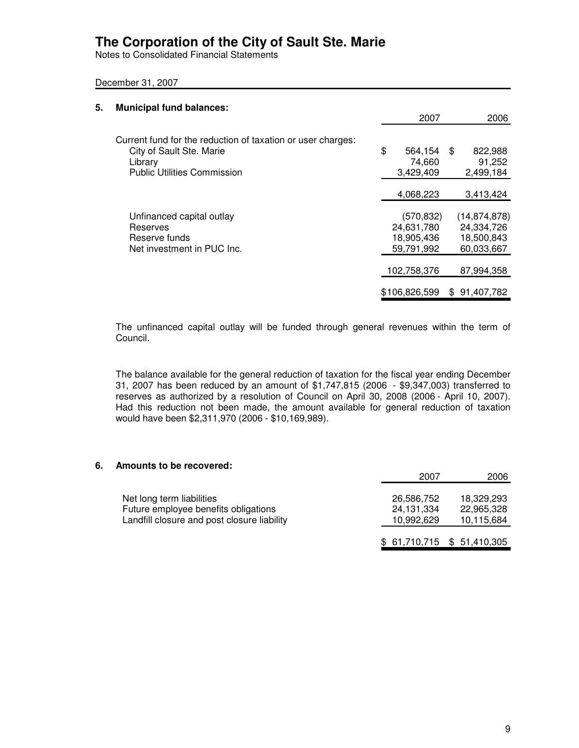Notes to Consolidated Financial Statements

December 31, 2007

| 5. | <b>Municipal fund balances:</b>                                                                    |                                                      |                                                          |
|----|----------------------------------------------------------------------------------------------------|------------------------------------------------------|----------------------------------------------------------|
|    |                                                                                                    | 2007                                                 | 2006                                                     |
|    | Current fund for the reduction of taxation or user charges:<br>City of Sault Ste. Marie<br>Library | \$<br>564,154<br>74,660                              | \$<br>822,988<br>91,252                                  |
|    | <b>Public Utilities Commission</b>                                                                 | 3,429,409                                            | 2,499,184                                                |
|    |                                                                                                    | 4,068,223                                            | 3,413,424                                                |
|    | Unfinanced capital outlay<br>Reserves<br>Reserve funds<br>Net investment in PUC Inc.               | (570, 832)<br>24,631,780<br>18,905,436<br>59,791,992 | (14, 874, 878)<br>24,334,726<br>18,500,843<br>60,033,667 |
|    |                                                                                                    | 102,758,376                                          | 87,994,358                                               |
|    |                                                                                                    | \$106,826,599                                        | \$91,407,782                                             |

The unfinanced capital outlay will be funded through general revenues within the term of Council.

The balance available for the general reduction of taxation for the fiscal year ending December 31, 2007 has been reduced by an amount of \$1,747,815 (2006 - \$9,347,003) transferred to reserves as authorized by a resolution of Council on April 30, 2008 (2006 - April 10, 2007). Had this reduction not been made, the amount available for general reduction of taxation would have been \$2,311,970 (2006 - \$10,169,989).

#### **6. Amounts to be recovered:**

|                                                                                                                  | 2007                                     | 2006                                   |
|------------------------------------------------------------------------------------------------------------------|------------------------------------------|----------------------------------------|
| Net long term liabilities<br>Future employee benefits obligations<br>Landfill closure and post closure liability | 26,586,752<br>24, 131, 334<br>10,992,629 | 18.329.293<br>22,965,328<br>10,115,684 |
|                                                                                                                  | \$61,710,715 \$51,410,305                |                                        |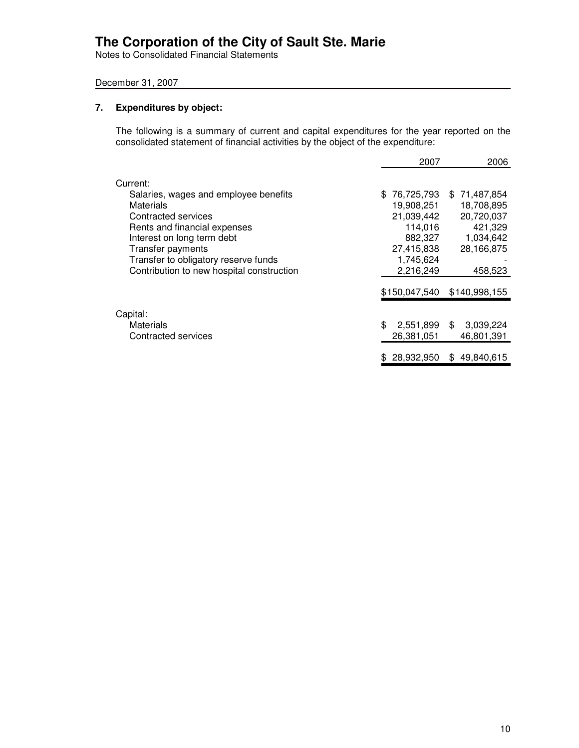Notes to Consolidated Financial Statements

### December 31, 2007

### **7. Expenditures by object:**

The following is a summary of current and capital expenditures for the year reported on the consolidated statement of financial activities by the object of the expenditure:

|                                           | 2007              | 2006              |
|-------------------------------------------|-------------------|-------------------|
| Current:                                  |                   |                   |
| Salaries, wages and employee benefits     | 76,725,793<br>\$. | \$71,487,854      |
| Materials                                 | 19,908,251        | 18,708,895        |
| Contracted services                       | 21,039,442        | 20,720,037        |
| Rents and financial expenses              | 114,016           | 421,329           |
| Interest on long term debt                | 882,327           | 1,034,642         |
| Transfer payments                         | 27,415,838        | 28,166,875        |
| Transfer to obligatory reserve funds      | 1,745,624         |                   |
| Contribution to new hospital construction | 2,216,249         | 458,523           |
|                                           | \$150,047,540     | \$140,998,155     |
| Capital:                                  |                   |                   |
| Materials                                 | \$<br>2,551,899   | 3,039,224<br>\$.  |
| Contracted services                       | 26,381,051        | 46,801,391        |
|                                           | 28,932,950        | 49.840.615<br>\$. |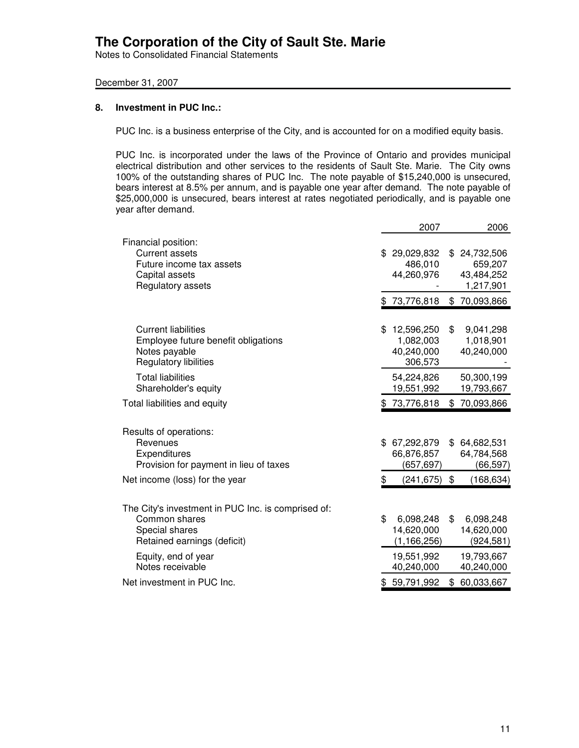Notes to Consolidated Financial Statements

### December 31, 2007

#### **8. Investment in PUC Inc.:**

PUC Inc. is a business enterprise of the City, and is accounted for on a modified equity basis.

PUC Inc. is incorporated under the laws of the Province of Ontario and provides municipal electrical distribution and other services to the residents of Sault Ste. Marie. The City owns 100% of the outstanding shares of PUC Inc. The note payable of \$15,240,000 is unsecured, bears interest at 8.5% per annum, and is payable one year after demand. The note payable of \$25,000,000 is unsecured, bears interest at rates negotiated periodically, and is payable one year after demand.

|                                                                                                                      | 2007                                                   |     | 2006                                             |
|----------------------------------------------------------------------------------------------------------------------|--------------------------------------------------------|-----|--------------------------------------------------|
| Financial position:<br><b>Current assets</b><br>Future income tax assets<br>Capital assets<br>Regulatory assets      | 29,029,832<br>486,010<br>44,260,976                    | \$. | 24,732,506<br>659,207<br>43,484,252<br>1,217,901 |
|                                                                                                                      | \$73,776,818                                           |     | \$70,093,866                                     |
| <b>Current liabilities</b><br>Employee future benefit obligations<br>Notes payable<br>Regulatory libilities          | \$<br>12,596,250<br>1,082,003<br>40,240,000<br>306,573 | \$  | 9,041,298<br>1,018,901<br>40,240,000             |
| <b>Total liabilities</b><br>Shareholder's equity                                                                     | 54,224,826<br>19,551,992                               |     | 50,300,199<br>19,793,667                         |
| Total liabilities and equity                                                                                         | \$73,776,818                                           | \$  | 70,093,866                                       |
| Results of operations:<br>Revenues<br>Expenditures<br>Provision for payment in lieu of taxes                         | \$<br>67,292,879<br>66,876,857<br>(657, 697)           |     | \$64,682,531<br>64,784,568<br>(66,597)           |
| Net income (loss) for the year                                                                                       | \$<br>$(241, 675)$ \$                                  |     | (168, 634)                                       |
| The City's investment in PUC Inc. is comprised of:<br>Common shares<br>Special shares<br>Retained earnings (deficit) | \$<br>6,098,248<br>14,620,000<br>(1, 166, 256)         | \$  | 6,098,248<br>14,620,000<br>(924, 581)            |
| Equity, end of year<br>Notes receivable                                                                              | 19,551,992<br>40,240,000                               |     | 19,793,667<br>40,240,000                         |
| Net investment in PUC Inc.                                                                                           | 59,791,992                                             | \$  | 60,033,667                                       |
|                                                                                                                      |                                                        |     |                                                  |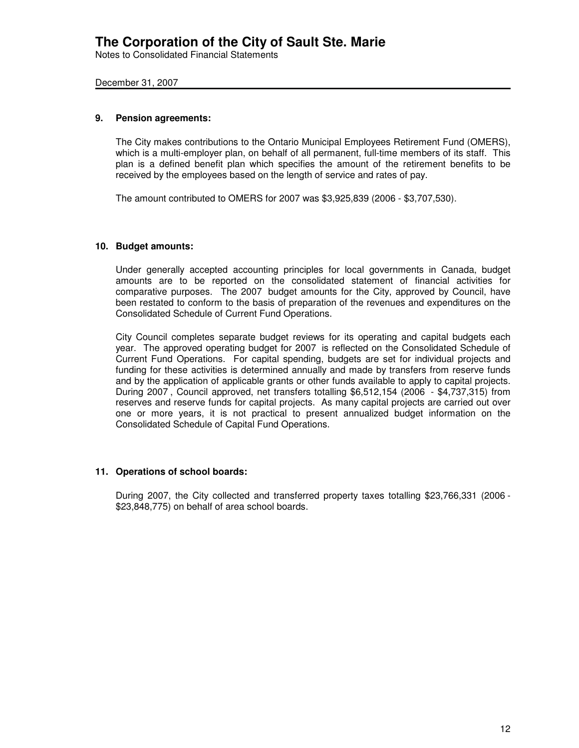Notes to Consolidated Financial Statements

#### December 31, 2007

#### **9. Pension agreements:**

The City makes contributions to the Ontario Municipal Employees Retirement Fund (OMERS), which is a multi-employer plan, on behalf of all permanent, full-time members of its staff. This plan is a defined benefit plan which specifies the amount of the retirement benefits to be received by the employees based on the length of service and rates of pay.

The amount contributed to OMERS for 2007 was \$3,925,839 (2006 - \$3,707,530).

### **10. Budget amounts:**

Under generally accepted accounting principles for local governments in Canada, budget amounts are to be reported on the consolidated statement of financial activities for comparative purposes. The 2007 budget amounts for the City, approved by Council, have been restated to conform to the basis of preparation of the revenues and expenditures on the Consolidated Schedule of Current Fund Operations.

City Council completes separate budget reviews for its operating and capital budgets each year. The approved operating budget for 2007 is reflected on the Consolidated Schedule of Current Fund Operations. For capital spending, budgets are set for individual projects and funding for these activities is determined annually and made by transfers from reserve funds and by the application of applicable grants or other funds available to apply to capital projects. During 2007 , Council approved, net transfers totalling \$6,512,154 (2006 - \$4,737,315) from reserves and reserve funds for capital projects. As many capital projects are carried out over one or more years, it is not practical to present annualized budget information on the Consolidated Schedule of Capital Fund Operations.

### **11. Operations of school boards:**

During 2007, the City collected and transferred property taxes totalling \$23,766,331 (2006 - \$23,848,775) on behalf of area school boards.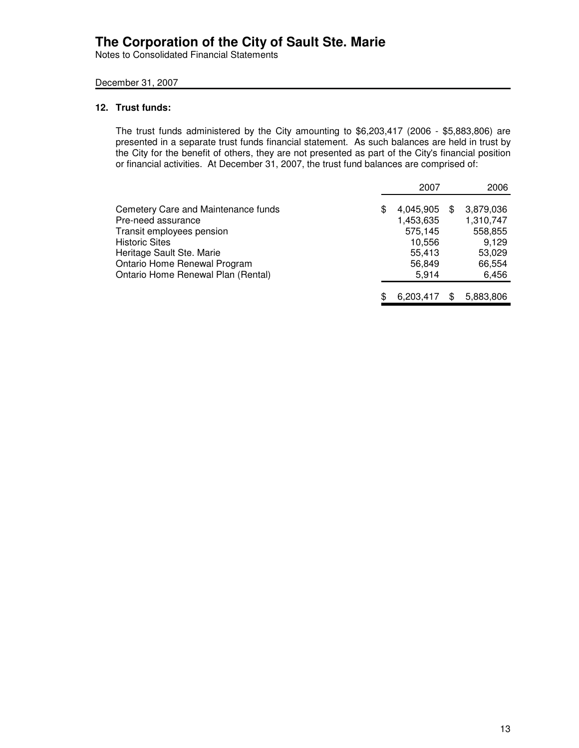Notes to Consolidated Financial Statements

### December 31, 2007

### **12. Trust funds:**

The trust funds administered by the City amounting to \$6,203,417 (2006 - \$5,883,806) are presented in a separate trust funds financial statement. As such balances are held in trust by the City for the benefit of others, they are not presented as part of the City's financial position or financial activities. At December 31, 2007, the trust fund balances are comprised of:

|                                                                                                                                              |     | 2007                                                  |     | 2006                                                 |
|----------------------------------------------------------------------------------------------------------------------------------------------|-----|-------------------------------------------------------|-----|------------------------------------------------------|
| Cemetery Care and Maintenance funds<br>Pre-need assurance<br>Transit employees pension<br><b>Historic Sites</b><br>Heritage Sault Ste. Marie | \$. | 4,045,905<br>1,453,635<br>575,145<br>10,556<br>55,413 | \$. | 3,879,036<br>1,310,747<br>558,855<br>9.129<br>53,029 |
| Ontario Home Renewal Program<br>Ontario Home Renewal Plan (Rental)                                                                           |     | 56,849<br>5.914                                       |     | 66,554<br>6,456                                      |
|                                                                                                                                              | S   | 6.203.417                                             |     | 5,883,806                                            |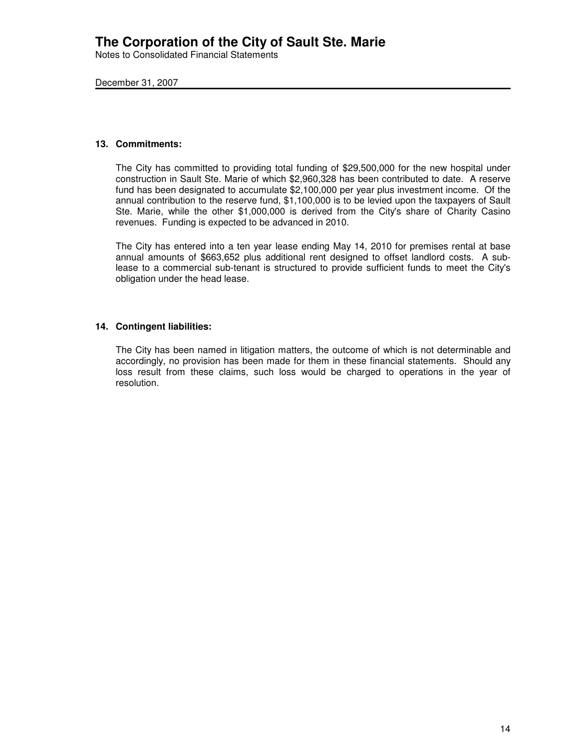Notes to Consolidated Financial Statements

December 31, 2007

#### **13. Commitments:**

The City has committed to providing total funding of \$29,500,000 for the new hospital under construction in Sault Ste. Marie of which \$2,960,328 has been contributed to date. A reserve fund has been designated to accumulate \$2,100,000 per year plus investment income. Of the annual contribution to the reserve fund, \$1,100,000 is to be levied upon the taxpayers of Sault Ste. Marie, while the other \$1,000,000 is derived from the City's share of Charity Casino revenues. Funding is expected to be advanced in 2010.

The City has entered into a ten year lease ending May 14, 2010 for premises rental at base annual amounts of \$663,652 plus additional rent designed to offset landlord costs. A sublease to a commercial sub-tenant is structured to provide sufficient funds to meet the City's obligation under the head lease.

### **14. Contingent liabilities:**

The City has been named in litigation matters, the outcome of which is not determinable and accordingly, no provision has been made for them in these financial statements. Should any loss result from these claims, such loss would be charged to operations in the year of resolution.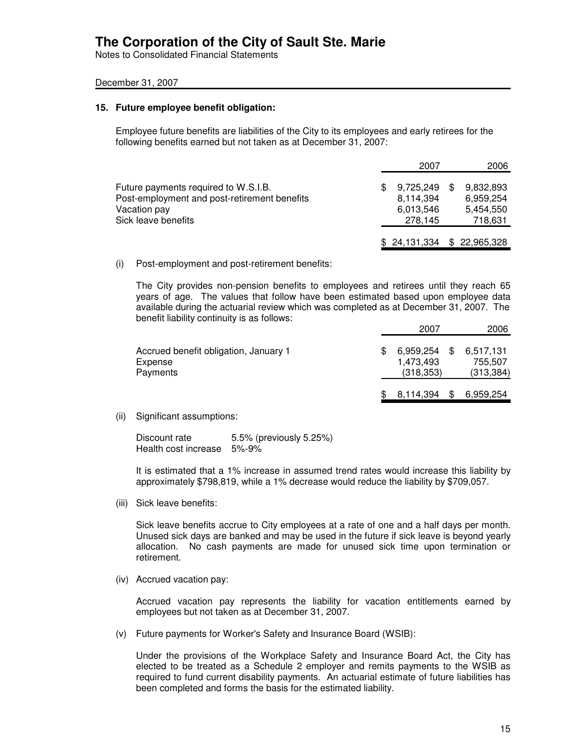Notes to Consolidated Financial Statements

#### December 31, 2007

#### **15. Future employee benefit obligation:**

Employee future benefits are liabilities of the City to its employees and early retirees for the following benefits earned but not taken as at December 31, 2007:

|                                                                                                                             | 2007                                           | 2006                                           |
|-----------------------------------------------------------------------------------------------------------------------------|------------------------------------------------|------------------------------------------------|
| Future payments required to W.S.I.B.<br>Post-employment and post-retirement benefits<br>Vacation pay<br>Sick leave benefits | 9,725,249<br>8,114,394<br>6,013,546<br>278.145 | 9,832,893<br>6.959.254<br>5,454,550<br>718,631 |
|                                                                                                                             | $$24,131,334$ $$22,965,328$                    |                                                |

(i) Post-employment and post-retirement benefits:

The City provides non-pension benefits to employees and retirees until they reach 65 years of age. The values that follow have been estimated based upon employee data available during the actuarial review which was completed as at December 31, 2007. The benefit liability continuity is as follows:

|                                                              | 2007                                 |     | 2006                               |
|--------------------------------------------------------------|--------------------------------------|-----|------------------------------------|
| Accrued benefit obligation, January 1<br>Expense<br>Payments | 6,959,254<br>1.473.493<br>(318, 353) | -SS | 6,517,131<br>755.507<br>(313, 384) |
|                                                              | 8,114,394                            |     | 6,959,254                          |

(ii) Significant assumptions:

Discount rate 5.5% (previously 5.25%) Health cost increase 5%-9%

It is estimated that a 1% increase in assumed trend rates would increase this liability by approximately \$798,819, while a 1% decrease would reduce the liability by \$709,057.

(iii) Sick leave benefits:

Sick leave benefits accrue to City employees at a rate of one and a half days per month. Unused sick days are banked and may be used in the future if sick leave is beyond yearly allocation. No cash payments are made for unused sick time upon termination or retirement.

(iv) Accrued vacation pay:

Accrued vacation pay represents the liability for vacation entitlements earned by employees but not taken as at December 31, 2007.

(v) Future payments for Worker's Safety and Insurance Board (WSIB):

Under the provisions of the Workplace Safety and Insurance Board Act, the City has elected to be treated as a Schedule 2 employer and remits payments to the WSIB as required to fund current disability payments. An actuarial estimate of future liabilities has been completed and forms the basis for the estimated liability.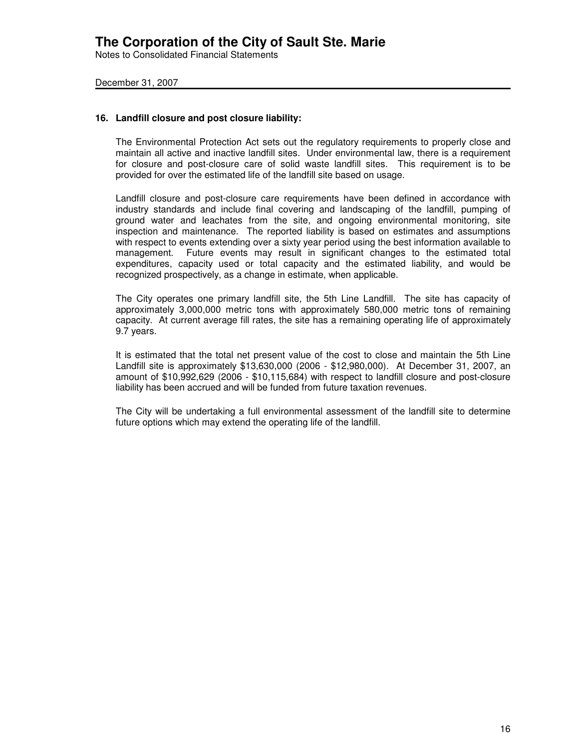Notes to Consolidated Financial Statements

December 31, 2007

#### **16. Landfill closure and post closure liability:**

The Environmental Protection Act sets out the regulatory requirements to properly close and maintain all active and inactive landfill sites. Under environmental law, there is a requirement for closure and post-closure care of solid waste landfill sites. This requirement is to be provided for over the estimated life of the landfill site based on usage.

Landfill closure and post-closure care requirements have been defined in accordance with industry standards and include final covering and landscaping of the landfill, pumping of ground water and leachates from the site, and ongoing environmental monitoring, site inspection and maintenance. The reported liability is based on estimates and assumptions with respect to events extending over a sixty year period using the best information available to management. Future events may result in significant changes to the estimated total expenditures, capacity used or total capacity and the estimated liability, and would be recognized prospectively, as a change in estimate, when applicable.

The City operates one primary landfill site, the 5th Line Landfill. The site has capacity of approximately 3,000,000 metric tons with approximately 580,000 metric tons of remaining capacity. At current average fill rates, the site has a remaining operating life of approximately 9.7 years.

It is estimated that the total net present value of the cost to close and maintain the 5th Line Landfill site is approximately \$13,630,000 (2006 - \$12,980,000). At December 31, 2007, an amount of \$10,992,629 (2006 - \$10,115,684) with respect to landfill closure and post-closure liability has been accrued and will be funded from future taxation revenues.

The City will be undertaking a full environmental assessment of the landfill site to determine future options which may extend the operating life of the landfill.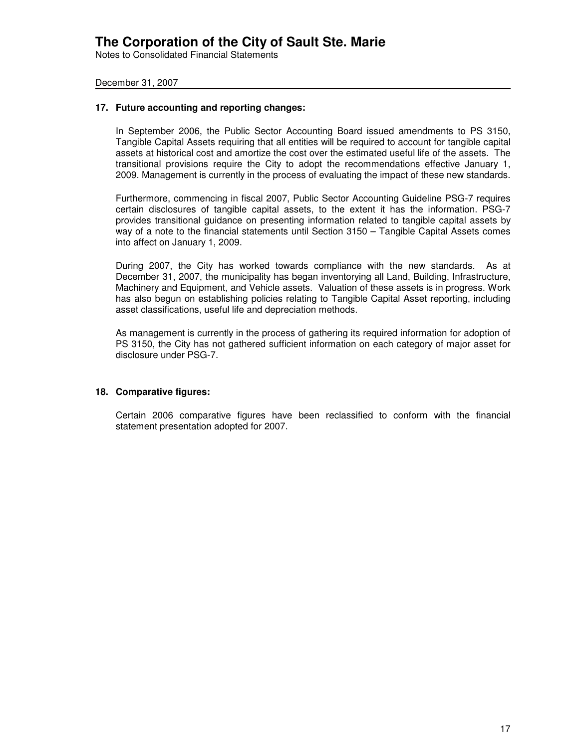Notes to Consolidated Financial Statements

December 31, 2007

#### **17. Future accounting and reporting changes:**

In September 2006, the Public Sector Accounting Board issued amendments to PS 3150, Tangible Capital Assets requiring that all entities will be required to account for tangible capital assets at historical cost and amortize the cost over the estimated useful life of the assets. The transitional provisions require the City to adopt the recommendations effective January 1, 2009. Management is currently in the process of evaluating the impact of these new standards.

Furthermore, commencing in fiscal 2007, Public Sector Accounting Guideline PSG-7 requires certain disclosures of tangible capital assets, to the extent it has the information. PSG-7 provides transitional guidance on presenting information related to tangible capital assets by way of a note to the financial statements until Section 3150 – Tangible Capital Assets comes into affect on January 1, 2009.

During 2007, the City has worked towards compliance with the new standards. As at December 31, 2007, the municipality has began inventorying all Land, Building, Infrastructure, Machinery and Equipment, and Vehicle assets. Valuation of these assets is in progress. Work has also begun on establishing policies relating to Tangible Capital Asset reporting, including asset classifications, useful life and depreciation methods.

As management is currently in the process of gathering its required information for adoption of PS 3150, the City has not gathered sufficient information on each category of major asset for disclosure under PSG-7.

### **18. Comparative figures:**

Certain 2006 comparative figures have been reclassified to conform with the financial statement presentation adopted for 2007.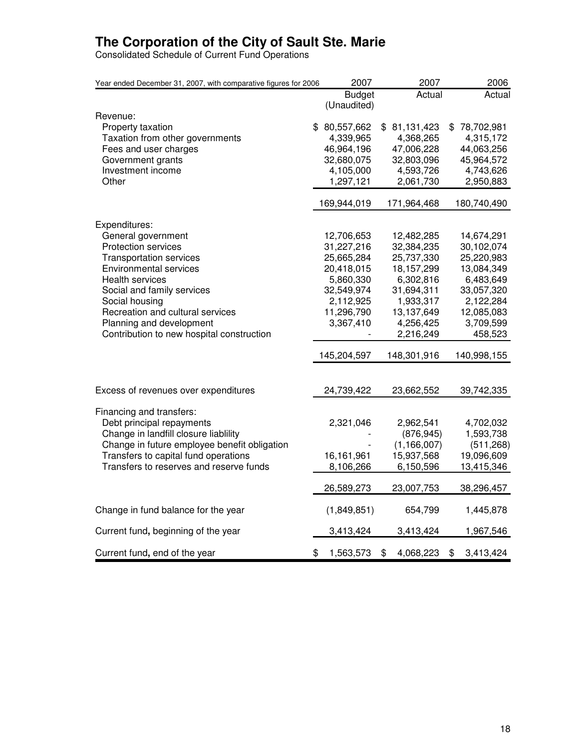Consolidated Schedule of Current Fund Operations

| Year ended December 31, 2007, with comparative figures for 2006                       | 2007                   | 2007                        | 2006                    |
|---------------------------------------------------------------------------------------|------------------------|-----------------------------|-------------------------|
|                                                                                       | <b>Budget</b>          | Actual                      | Actual                  |
|                                                                                       | (Unaudited)            |                             |                         |
| Revenue:                                                                              |                        |                             |                         |
| Property taxation                                                                     | \$80,557,662           | \$81,131,423                | \$<br>78,702,981        |
| Taxation from other governments                                                       | 4,339,965              | 4,368,265                   | 4,315,172               |
| Fees and user charges                                                                 | 46,964,196             | 47,006,228                  | 44,063,256              |
| Government grants                                                                     | 32,680,075             | 32,803,096                  | 45,964,572              |
| Investment income<br>Other                                                            | 4,105,000<br>1,297,121 | 4,593,726<br>2,061,730      | 4,743,626<br>2,950,883  |
|                                                                                       |                        |                             |                         |
|                                                                                       | 169,944,019            | 171,964,468                 | 180,740,490             |
| Expenditures:                                                                         |                        |                             |                         |
| General government                                                                    | 12,706,653             | 12,482,285                  | 14,674,291              |
| Protection services                                                                   | 31,227,216             | 32,384,235                  | 30,102,074              |
| <b>Transportation services</b>                                                        | 25,665,284             | 25,737,330                  | 25,220,983              |
| <b>Environmental services</b>                                                         | 20,418,015             | 18, 157, 299                | 13,084,349              |
| Health services                                                                       | 5,860,330              | 6,302,816                   | 6,483,649               |
| Social and family services                                                            | 32,549,974             | 31,694,311                  | 33,057,320              |
| Social housing                                                                        | 2,112,925              | 1,933,317                   | 2,122,284               |
| Recreation and cultural services                                                      | 11,296,790             | 13,137,649                  | 12,085,083              |
| Planning and development                                                              | 3,367,410              | 4,256,425                   | 3,709,599               |
| Contribution to new hospital construction                                             |                        | 2,216,249                   | 458,523                 |
|                                                                                       | 145,204,597            | 148,301,916                 | 140,998,155             |
|                                                                                       |                        |                             |                         |
| Excess of revenues over expenditures                                                  | 24,739,422             | 23,662,552                  | 39,742,335              |
|                                                                                       |                        |                             |                         |
| Financing and transfers:                                                              |                        |                             |                         |
| Debt principal repayments                                                             | 2,321,046              | 2,962,541                   | 4,702,032               |
| Change in landfill closure liablility<br>Change in future employee benefit obligation |                        | (876, 945)<br>(1, 166, 007) | 1,593,738<br>(511, 268) |
| Transfers to capital fund operations                                                  | 16,161,961             | 15,937,568                  | 19,096,609              |
| Transfers to reserves and reserve funds                                               | 8,106,266              | 6,150,596                   | 13,415,346              |
|                                                                                       |                        |                             |                         |
|                                                                                       | 26,589,273             | 23,007,753                  | 38,296,457              |
| Change in fund balance for the year                                                   | (1,849,851)            | 654,799                     | 1,445,878               |
| Current fund, beginning of the year                                                   | 3,413,424              | 3,413,424                   | 1,967,546               |
| Current fund, end of the year                                                         | \$<br>1,563,573        | \$<br>4,068,223             | \$<br>3,413,424         |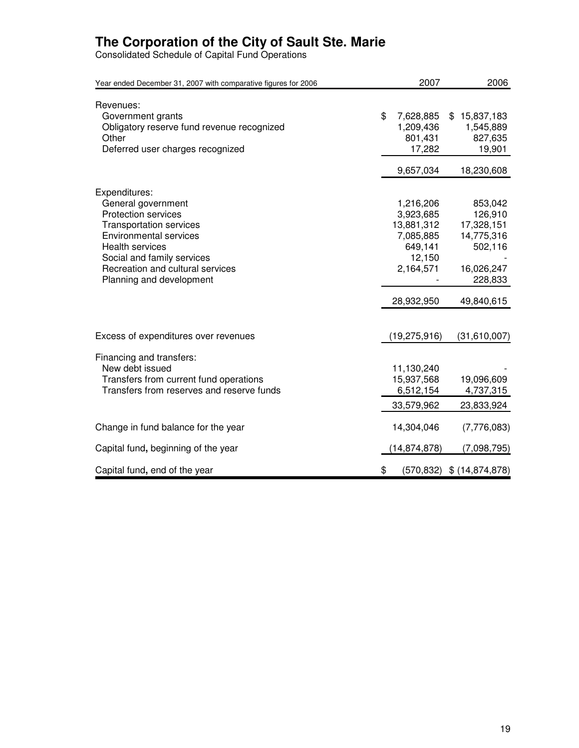Consolidated Schedule of Capital Fund Operations

| Year ended December 31, 2007 with comparative figures for 2006                                                                                                                                                                                               | 2007                                                                                                           | 2006                                                                                                           |
|--------------------------------------------------------------------------------------------------------------------------------------------------------------------------------------------------------------------------------------------------------------|----------------------------------------------------------------------------------------------------------------|----------------------------------------------------------------------------------------------------------------|
| Revenues:<br>Government grants<br>Obligatory reserve fund revenue recognized<br>Other<br>Deferred user charges recognized                                                                                                                                    | \$<br>7,628,885<br>1,209,436<br>801,431<br>17,282                                                              | \$15,837,183<br>1,545,889<br>827,635<br>19,901                                                                 |
| Expenditures:<br>General government<br><b>Protection services</b><br><b>Transportation services</b><br><b>Environmental services</b><br><b>Health services</b><br>Social and family services<br>Recreation and cultural services<br>Planning and development | 9,657,034<br>1,216,206<br>3,923,685<br>13,881,312<br>7,085,885<br>649,141<br>12,150<br>2,164,571<br>28,932,950 | 18,230,608<br>853,042<br>126,910<br>17,328,151<br>14,775,316<br>502,116<br>16,026,247<br>228,833<br>49,840,615 |
| Excess of expenditures over revenues                                                                                                                                                                                                                         | (19, 275, 916)                                                                                                 | (31,610,007)                                                                                                   |
| Financing and transfers:<br>New debt issued<br>Transfers from current fund operations<br>Transfers from reserves and reserve funds                                                                                                                           | 11,130,240<br>15,937,568<br>6,512,154<br>33,579,962                                                            | 19,096,609<br>4,737,315<br>23,833,924                                                                          |
| Change in fund balance for the year                                                                                                                                                                                                                          | 14,304,046                                                                                                     | (7,776,083)                                                                                                    |
| Capital fund, beginning of the year                                                                                                                                                                                                                          | (14,874,878)                                                                                                   | (7,098,795)                                                                                                    |
| Capital fund, end of the year                                                                                                                                                                                                                                | \$                                                                                                             | $(570,832)$ \$ $(14,874,878)$                                                                                  |